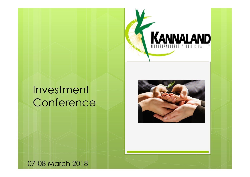

#### Investment **Conference**



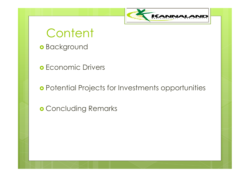

# **Content** o Background

**o** Economic Drivers

Potential Projects for Investments opportunities

o Concluding Remarks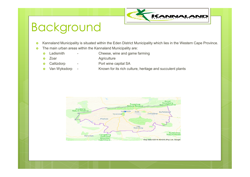

## Background

- $\bullet$ Kannaland Municipality is situated within the Eden District Municipality which lies in the Western Cape Province.
- $\bullet$ The main urban areas within the Kannaland Municipality are:<br> **o** Ladismith **by** - Cheese wine and game formulation
	- $\bullet$ Ladismith - Cheese, wine and game farming<br>Zoar Adriculture
		-

 $\bullet$ 

- 
- Zoar Agriculture<br>Calitzdorp Port wine c  $\bullet$ Calitzdorp - Port wine capital SA<br>
Van Wyksdorp - Known for its rich cu
- $\bullet$ - Known for its rich culture, heritage and succulent plants

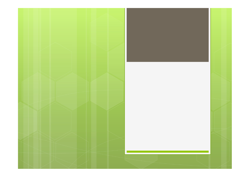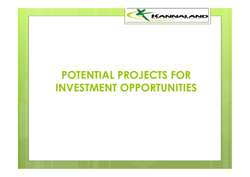

### **POTENTIAL PROJECTS FOR INVESTMENT OPPORTUNITIES**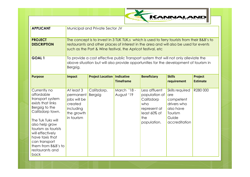

| <b>APPLICANT</b>                                                                                                                                                                                                                                                                 | Municipal and Private Sector JV                                                                                                                                                                                                                      |                               |                                       |                                                                                                           |                                                                                                      |                                   |  |
|----------------------------------------------------------------------------------------------------------------------------------------------------------------------------------------------------------------------------------------------------------------------------------|------------------------------------------------------------------------------------------------------------------------------------------------------------------------------------------------------------------------------------------------------|-------------------------------|---------------------------------------|-----------------------------------------------------------------------------------------------------------|------------------------------------------------------------------------------------------------------|-----------------------------------|--|
| <b>PROJECT</b><br><b>DESCRIPTION</b>                                                                                                                                                                                                                                             | The concept is to invest in 3 TUK TUK,s which is used to ferry tourists from their B&B's to<br>restaurants and other places of interest in the area and will also be used for events<br>such as the Port & Wine festival, the Apricot festival, etc. |                               |                                       |                                                                                                           |                                                                                                      |                                   |  |
| <b>GOAL1</b>                                                                                                                                                                                                                                                                     | To provide a cost effective public Transport system that will not only alleviate the<br>above situation but will also provide opportunities for the development of tourism in<br>Bergsig.                                                            |                               |                                       |                                                                                                           |                                                                                                      |                                   |  |
| <b>Purpose</b>                                                                                                                                                                                                                                                                   | <b>Impact</b>                                                                                                                                                                                                                                        | <b>Project Location</b>       | <b>Indicative</b><br><b>Timeframe</b> | <b>Beneficiary</b>                                                                                        | <b>Skills</b><br>requirement                                                                         | <b>Project</b><br><b>Estimate</b> |  |
| Currently no<br>affordable<br>transport system<br>exists that links<br>Bergsig to the<br>Calitzdorp town.<br>The Tuk Tuks will<br>also help grow<br>tourism as tourists<br>will effectively<br>have taxis that<br>can transport<br>them from B&B's to<br>restaurants and<br>back | At least 3<br>permanent<br>jobs will be<br>created<br>including<br>the growth<br>in tourism                                                                                                                                                          | Calitzdorp,<br><b>Bergsig</b> | March '18 -<br>August '19             | Less affluent<br>population of<br>Calitzdorp<br>who<br>represent at<br>least 60% of<br>the<br>population. | Skills required<br>are<br>competent<br>drivers who<br>also have<br>Tourism<br>Guide<br>accreditation | R280 000                          |  |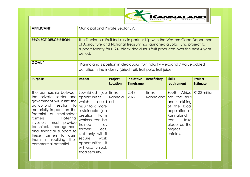

| <b>APPLICANT</b>                                                                                                                                                                                                                                                                                                                                                                                                    | Municipal and Private Sector JV.                                                                                                                                                                                                                     |                            |                                       |                     |                                                                                                                                               |                                   |  |
|---------------------------------------------------------------------------------------------------------------------------------------------------------------------------------------------------------------------------------------------------------------------------------------------------------------------------------------------------------------------------------------------------------------------|------------------------------------------------------------------------------------------------------------------------------------------------------------------------------------------------------------------------------------------------------|----------------------------|---------------------------------------|---------------------|-----------------------------------------------------------------------------------------------------------------------------------------------|-----------------------------------|--|
| <b>PROJECT DESCRIPTION</b>                                                                                                                                                                                                                                                                                                                                                                                          | The Deciduous Fruit Industry in partnership with the Western Cape Department<br>of Agriculture and National Treasury has launched a Jobs Fund project to<br>support twenty four (24) black deciduous fruit producers over the next 4-year<br>period. |                            |                                       |                     |                                                                                                                                               |                                   |  |
| <b>GOAL1</b>                                                                                                                                                                                                                                                                                                                                                                                                        | Kannaland's position in deciduous fruit industry – expand / Value added<br>activities in the industry (dried fruit, fruit pulp, fruit juice)                                                                                                         |                            |                                       |                     |                                                                                                                                               |                                   |  |
| <b>Purpose</b>                                                                                                                                                                                                                                                                                                                                                                                                      | <b>Impact</b>                                                                                                                                                                                                                                        | Project<br><b>Location</b> | <b>Indicative</b><br><b>Timeframe</b> | <b>Beneficiary</b>  | <b>Skills</b><br>requirement                                                                                                                  | <b>Project</b><br><b>Estimate</b> |  |
| The partnership between Low-skilled<br>the private sector and opportunities<br>government will assist the which<br>agricultural<br>sector<br>to<br>materially impact on the<br>footprint of smallholder<br>farmers.<br>Potential<br>must<br>investors<br>provide<br>technical, management<br>and financial support to<br>to<br>farmers<br>assist<br>these<br>in realising<br>their<br>them<br>commercial potential. | could nd<br>result to a more<br>sustainable job<br>creation. Farm<br>workers can be<br>trained<br>$\alpha$ s<br>ect.<br>farmers<br>Not only will it<br>secure<br>work<br>opportunities<br>it.<br>will also unlock<br>food security.                  | job Entire<br>Kannala      | 2018-<br>2027                         | Entire<br>Kannaland | South<br>has the skills<br>and upskilling<br>of the local<br>population of<br>Kannaland<br>take<br>can<br>place as the<br>project<br>unfolds. | Africa R120 million               |  |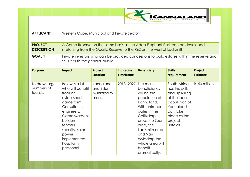

| <b>APPLICANT</b>                         | Western Cape, Municipal and Private Sector                                                                                                                                                                                   |                                                 |                                       |                                                                                                                                                                                                                                       |                                                                                                                                                   |                                   |  |
|------------------------------------------|------------------------------------------------------------------------------------------------------------------------------------------------------------------------------------------------------------------------------|-------------------------------------------------|---------------------------------------|---------------------------------------------------------------------------------------------------------------------------------------------------------------------------------------------------------------------------------------|---------------------------------------------------------------------------------------------------------------------------------------------------|-----------------------------------|--|
| <b>PROJECT</b><br><b>DESCRIPTION</b>     | A Game Reserve on the same basis as the Addo Elephant Park can be developed<br>stretching from the Gouritz Reserve to the R62 on the west of Ladismith.                                                                      |                                                 |                                       |                                                                                                                                                                                                                                       |                                                                                                                                                   |                                   |  |
| <b>GOAL1</b>                             | Private investors who can be provided concessions to build estates within the reserve and<br>sell units to the general public                                                                                                |                                                 |                                       |                                                                                                                                                                                                                                       |                                                                                                                                                   |                                   |  |
| <b>Purpose</b>                           | <b>Impact</b>                                                                                                                                                                                                                | <b>Project</b><br><b>Location</b>               | <b>Indicative</b><br><b>Timeframe</b> | <b>Beneficiary</b>                                                                                                                                                                                                                    | <b>Skills</b><br>requirement                                                                                                                      | <b>Project</b><br><b>Estimate</b> |  |
| To draw large<br>numbers of<br>tourists. | Below is a list<br>who will benefit<br>from an<br>established<br>game farm:<br>Consultants,<br>engineers,<br>Game wardens,<br>builders,<br>fencers,<br>security, solar<br>power<br>implementers,<br>hospitality<br>personnel | Kannaland<br>and Eden<br>Municipality<br>areas. | 2018 - 2027 The main                  | beneficiaries<br>will be the<br>population of<br>Kannaland.<br>With entrance<br>gates in the<br>Calitzdorp<br>area, the Zoar<br>area, the<br>Ladismith area<br>and Van<br>Wyksdorp the<br>whole area will<br>benefit<br>dramatically. | South Africa<br>has the skills<br>and upskilling<br>of the local<br>population of<br>Kannaland<br>can take<br>place as the<br>project<br>unfolds. | R150 million                      |  |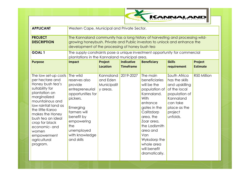

| <b>APPLICANT</b>                                                                                                                                                                                                                                                                                              | Western Cape, Municipal and Private Sector.                                                                                                                                                                   |                                                  |                                       |                                                                                                                                                                                                                                                         |                                                                                                                                                   |                                   |  |
|---------------------------------------------------------------------------------------------------------------------------------------------------------------------------------------------------------------------------------------------------------------------------------------------------------------|---------------------------------------------------------------------------------------------------------------------------------------------------------------------------------------------------------------|--------------------------------------------------|---------------------------------------|---------------------------------------------------------------------------------------------------------------------------------------------------------------------------------------------------------------------------------------------------------|---------------------------------------------------------------------------------------------------------------------------------------------------|-----------------------------------|--|
| <b>PROJECT</b><br><b>DESCRIPTION</b>                                                                                                                                                                                                                                                                          | The Kannaland community has a long history of harvesting and processing wild-<br>growing honeybush. Private and Public investors to unlock and enhance the<br>development of the processing of honey bush tea |                                                  |                                       |                                                                                                                                                                                                                                                         |                                                                                                                                                   |                                   |  |
| <b>GOAL1</b>                                                                                                                                                                                                                                                                                                  | The supply constraints pose a unique investment opportunity for commercial<br>plantations in the Kannaland municipal area.                                                                                    |                                                  |                                       |                                                                                                                                                                                                                                                         |                                                                                                                                                   |                                   |  |
| <b>Purpose</b>                                                                                                                                                                                                                                                                                                | Impact                                                                                                                                                                                                        | Project<br><b>Location</b>                       | <b>Indicative</b><br><b>Timeframe</b> | <b>Beneficiary</b>                                                                                                                                                                                                                                      | <b>Skills</b><br>requirement                                                                                                                      | <b>Project</b><br><b>Estimate</b> |  |
| The low set-up costs<br>per hectare and<br>Honey bush tea's<br>suitability for<br>plantation on<br>marginalized<br>mountainous and<br>low rainfall land as<br>the little Karoo<br>makes the Honey<br>bush tea an ideal<br>crop for black<br>economic- and<br>women<br>empowerment<br>agricultural<br>program. | The wild<br>reserves also<br>provide<br>entrepreneurial<br>opportunities for<br>pickers.<br>Emerging<br>farmers will<br>benefit by<br>empowering<br>the<br>unemployed<br>with knowledge<br>and skills         | Kannaland<br>and Eden<br>Municipalit<br>y areas. | 2019-2027                             | The main<br>beneficiaries<br>will be the<br>population of<br>Kannaland.<br>With<br>entrance<br>gates in the<br>Calitzdorp<br>area, the<br>Zoar area,<br>the Ladismith<br>area and<br>Van<br>Wyksdorp the<br>whole area<br>will benefit<br>dramatically. | South Africa<br>has the skills<br>and upskilling<br>of the local<br>population of<br>Kannaland<br>can take<br>place as the<br>project<br>unfolds. | R50 Million                       |  |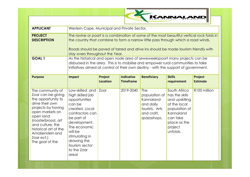

| <b>APPLICANT</b>                                                                                                                                                                                                                                              | Western Cape, Municipal and Private Sector.                                                                                                                                                                                                                                                             |                            |                                       |                                                                                               |                                                                                                                                                   |                                   |
|---------------------------------------------------------------------------------------------------------------------------------------------------------------------------------------------------------------------------------------------------------------|---------------------------------------------------------------------------------------------------------------------------------------------------------------------------------------------------------------------------------------------------------------------------------------------------------|----------------------------|---------------------------------------|-----------------------------------------------------------------------------------------------|---------------------------------------------------------------------------------------------------------------------------------------------------|-----------------------------------|
| <b>PROJECT</b><br><b>DESCRIPTION</b>                                                                                                                                                                                                                          | The ravine or poort is a combination of some of the most beautiful vertical rock folds in<br>the country that combine to form a narrow little pass through which a road winds.<br>Roads should be paved of tarred and drive ins should be made tourism friendly with<br>stay overs throughout the Year. |                            |                                       |                                                                                               |                                                                                                                                                   |                                   |
| <b>GOAL 1</b>                                                                                                                                                                                                                                                 | As the historical and open node area of seweweekspoort many projects can be<br>disbursed in the area. This is to mobilise and empower rural communities to take<br>initiatives aimed at control of their own destiny - with the support of government.                                                  |                            |                                       |                                                                                               |                                                                                                                                                   |                                   |
| <b>Purpose</b>                                                                                                                                                                                                                                                | Impact                                                                                                                                                                                                                                                                                                  | Project<br><b>Location</b> | <b>Indicative</b><br><b>Timeframe</b> | <b>Beneficiary</b>                                                                            | <b>Skills</b><br>requirement                                                                                                                      | <b>Project</b><br><b>Estimate</b> |
| The community of<br>Zoar can be giving<br>the opportunity to<br>drive their own<br>projects by having<br>open markets on<br>open land<br>(roosterbrood, art<br>and culture, the<br>historical art of the<br>Amalienstein and<br>Zoar ect.)<br>The goal of the | Low-skilled and<br>high skilled job<br>opportunities<br>can be<br>created. Local<br>contractors can<br>be part of<br>development.<br>The economic<br>will be<br>stimulating in<br>drawing the<br>tourism sector<br>to the Zoar<br>area!                                                                 | Zoar                       | 2019-2040                             | The<br>population of<br>Kannaland<br>and daily<br>tourists. Arts<br>and craft,<br>spazashops. | South Africa<br>has the skills<br>and upskilling<br>of the local<br>population of<br>Kannaland<br>can take<br>place as the<br>project<br>unfolds. | R100 million                      |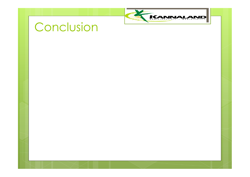

# Conclusion